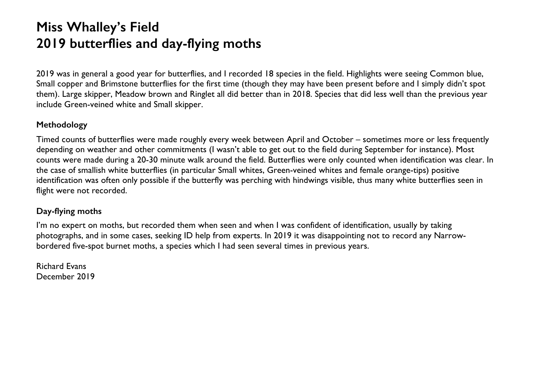## **Miss Whalley's Field 2019 butterflies and day-flying moths**

2019 was in general a good year for butterflies, and I recorded 18 species in the field. Highlights were seeing Common blue, Small copper and Brimstone butterflies for the first time (though they may have been present before and I simply didn't spot them). Large skipper, Meadow brown and Ringlet all did better than in 2018. Species that did less well than the previous year include Green-veined white and Small skipper.

## **Methodology**

Timed counts of butterflies were made roughly every week between April and October – sometimes more or less frequently depending on weather and other commitments (I wasn't able to get out to the field during September for instance). Most counts were made during a 20-30 minute walk around the field. Butterflies were only counted when identification was clear. In the case of smallish white butterflies (in particular Small whites, Green-veined whites and female orange-tips) positive identification was often only possible if the butterfly was perching with hindwings visible, thus many white butterflies seen in flight were not recorded.

## **Day-flying moths**

I'm no expert on moths, but recorded them when seen and when I was confident of identification, usually by taking photographs, and in some cases, seeking ID help from experts. In 2019 it was disappointing not to record any Narrowbordered five-spot burnet moths, a species which I had seen several times in previous years.

Richard Evans December 2019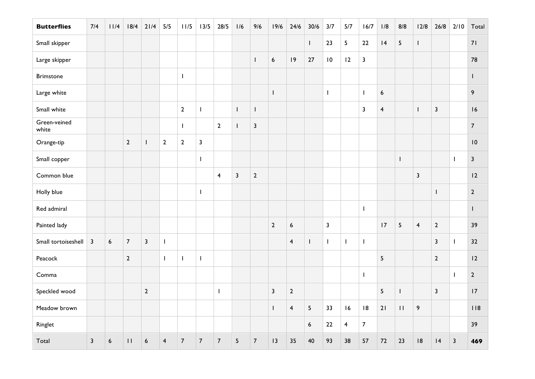| <b>Butterflies</b>    | 7/4          | 11/4 | 18/4           | 21/4             | 5/5                     | 11/5                     | 13/5                                  | 28/5           | 1/6                     | 9/6              | 19/6                    | 24/6                    | 30/6             | 3/7                     | 5/7                      | 16/7           | 1/8                     | 8/8            | 12/8                    | 26/8                     | 2/10                    | Total          |
|-----------------------|--------------|------|----------------|------------------|-------------------------|--------------------------|---------------------------------------|----------------|-------------------------|------------------|-------------------------|-------------------------|------------------|-------------------------|--------------------------|----------------|-------------------------|----------------|-------------------------|--------------------------|-------------------------|----------------|
| Small skipper         |              |      |                |                  |                         |                          |                                       |                |                         |                  |                         |                         | $\mathbf{I}$     | 23                      | 5                        | 22             | 4                       | 5              | $\mathbf{I}$            |                          |                         | 71             |
| Large skipper         |              |      |                |                  |                         |                          |                                       |                |                         | $\mathbf{I}$     | $\boldsymbol{6}$        | 9                       | $27$             | $\vert 0$               | 12                       | $\mathbf{3}$   |                         |                |                         |                          |                         | 78             |
| <b>Brimstone</b>      |              |      |                |                  |                         | $\mathbf{I}$             |                                       |                |                         |                  |                         |                         |                  |                         |                          |                |                         |                |                         |                          |                         | L              |
| Large white           |              |      |                |                  |                         |                          |                                       |                |                         |                  | $\mathbf{I}$            |                         |                  | $\mathbf{I}$            |                          | $\mathbf{I}$   | 6                       |                |                         |                          |                         | 9              |
| Small white           |              |      |                |                  |                         | $\mathbf{2}$             | $\begin{array}{c} \hline \end{array}$ |                | $\mathbf{I}$            | $\mathbf{I}$     |                         |                         |                  |                         |                          | $\mathbf{3}$   | $\overline{\mathbf{4}}$ |                | $\mathsf{I}$            | $\overline{\mathbf{3}}$  |                         | 16             |
| Green-veined<br>white |              |      |                |                  |                         | $\mathbf{I}$             |                                       | $\overline{2}$ | $\mathbf{I}$            | 3                |                         |                         |                  |                         |                          |                |                         |                |                         |                          |                         | $\overline{7}$ |
| Orange-tip            |              |      | $\overline{2}$ | L                | $\overline{2}$          | $\mathbf{2}$             | $\mathbf{3}$                          |                |                         |                  |                         |                         |                  |                         |                          |                |                         |                |                         |                          |                         | 10             |
| Small copper          |              |      |                |                  |                         |                          | $\overline{1}$                        |                |                         |                  |                         |                         |                  |                         |                          |                |                         | $\mathbf{I}$   |                         |                          | $\mathbf{I}$            | $\mathbf{3}$   |
| Common blue           |              |      |                |                  |                         |                          |                                       | $\overline{4}$ | $\overline{\mathbf{3}}$ | $\mathbf{2}$     |                         |                         |                  |                         |                          |                |                         |                | $\overline{\mathbf{3}}$ |                          |                         | 2              |
| Holly blue            |              |      |                |                  |                         |                          | $\overline{\phantom{a}}$              |                |                         |                  |                         |                         |                  |                         |                          |                |                         |                |                         | $\overline{\phantom{a}}$ |                         | $\overline{2}$ |
| Red admiral           |              |      |                |                  |                         |                          |                                       |                |                         |                  |                         |                         |                  |                         |                          | $\mathbf{I}$   |                         |                |                         |                          |                         | L              |
| Painted lady          |              |      |                |                  |                         |                          |                                       |                |                         |                  | $\overline{2}$          | $\boldsymbol{6}$        |                  | $\overline{\mathbf{3}}$ |                          |                | 7                       | $\overline{5}$ | $\overline{\mathbf{4}}$ | $\overline{2}$           |                         | 39             |
| Small tortoiseshell   | $\mathbf{3}$ | 6    | $\overline{7}$ | $\overline{3}$   | $\mathbf{I}$            |                          |                                       |                |                         |                  |                         | $\overline{\mathbf{4}}$ | L                | $\mathbf{I}$            | $\overline{\phantom{a}}$ | $\mathbf{I}$   |                         |                |                         | $\mathbf{3}$             | $\mathbf{I}$            | 32             |
| Peacock               |              |      | $\overline{2}$ |                  | $\mathbf{I}$            | $\overline{\phantom{a}}$ | $\overline{\phantom{a}}$              |                |                         |                  |                         |                         |                  |                         |                          |                | 5                       |                |                         | $\overline{2}$           |                         | 12             |
| Comma                 |              |      |                |                  |                         |                          |                                       |                |                         |                  |                         |                         |                  |                         |                          | $\mathbf{I}$   |                         |                |                         |                          | $\mathbf{I}$            | $\overline{2}$ |
| Speckled wood         |              |      |                | $\overline{2}$   |                         |                          |                                       | $\mathbf{I}$   |                         |                  | $\overline{\mathbf{3}}$ | $\overline{2}$          |                  |                         |                          |                | 5                       | $\mathbf{I}$   |                         | $\overline{\mathbf{3}}$  |                         | 17             |
| Meadow brown          |              |      |                |                  |                         |                          |                                       |                |                         |                  | $\mathbf{I}$            | $\overline{\mathbf{4}}$ | 5                | 33                      | 16                       | 8              | 21                      | $\mathbf{H}$   | 9                       |                          |                         | 118            |
| Ringlet               |              |      |                |                  |                         |                          |                                       |                |                         |                  |                         |                         | $\boldsymbol{6}$ | $22$                    | $\overline{\mathbf{4}}$  | $\overline{7}$ |                         |                |                         |                          |                         | 39             |
| Total                 | $\mathbf{3}$ | 6    | $\mathbf{H}$   | $\boldsymbol{6}$ | $\overline{\mathbf{4}}$ | $\overline{7}$           | $\overline{7}$                        | $\overline{7}$ | $5\phantom{.0}$         | $\boldsymbol{7}$ | 13                      | 35                      | 40               | 93                      | 38                       | 57             | $72\,$                  | 23             | 8                       | 4                        | $\overline{\mathbf{3}}$ | 469            |